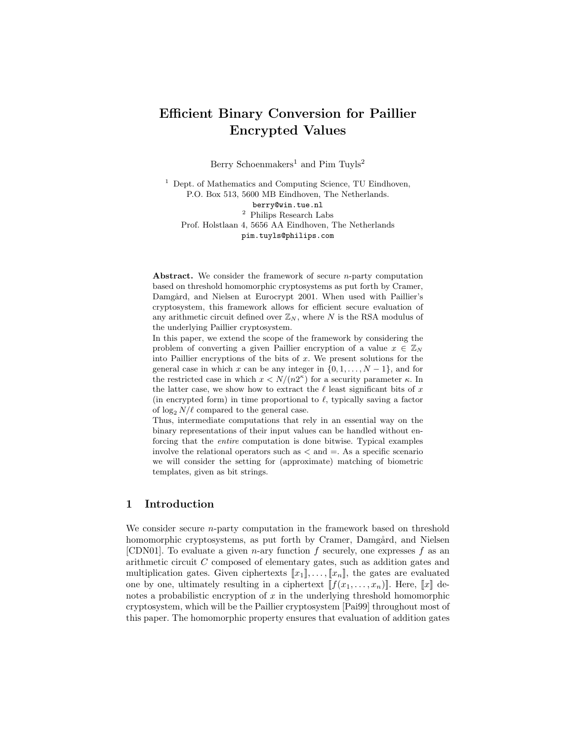# Efficient Binary Conversion for Paillier Encrypted Values

Berry Schoenmakers<sup>1</sup> and Pim Tuyls<sup>2</sup>

<sup>1</sup> Dept. of Mathematics and Computing Science, TU Eindhoven, P.O. Box 513, 5600 MB Eindhoven, The Netherlands. berry@win.tue.nl  $^{\rm 2}$  Philips Research Labs Prof. Holstlaan 4, 5656 AA Eindhoven, The Netherlands pim.tuyls@philips.com

Abstract. We consider the framework of secure *n*-party computation based on threshold homomorphic cryptosystems as put forth by Cramer, Damgård, and Nielsen at Eurocrypt 2001. When used with Paillier's cryptosystem, this framework allows for efficient secure evaluation of any arithmetic circuit defined over  $\mathbb{Z}_N$ , where N is the RSA modulus of the underlying Paillier cryptosystem.

In this paper, we extend the scope of the framework by considering the problem of converting a given Paillier encryption of a value  $x \in \mathbb{Z}_N$ into Paillier encryptions of the bits of  $x$ . We present solutions for the general case in which x can be any integer in  $\{0, 1, \ldots, N-1\}$ , and for the restricted case in which  $x < N/(n2^{\kappa})$  for a security parameter  $\kappa$ . In the latter case, we show how to extract the  $\ell$  least significant bits of x (in encrypted form) in time proportional to  $\ell$ , typically saving a factor of  $\log_2 N/\ell$  compared to the general case.

Thus, intermediate computations that rely in an essential way on the binary representations of their input values can be handled without enforcing that the entire computation is done bitwise. Typical examples involve the relational operators such as  $\langle$  and  $\equiv$ . As a specific scenario we will consider the setting for (approximate) matching of biometric templates, given as bit strings.

# 1 Introduction

We consider secure *n*-party computation in the framework based on threshold homomorphic cryptosystems, as put forth by Cramer, Damgård, and Nielsen [CDN01]. To evaluate a given *n*-ary function  $f$  securely, one expresses  $f$  as an arithmetic circuit C composed of elementary gates, such as addition gates and multiplication gates. Given ciphertexts  $[[x_1], \ldots, [x_n]]$ , the gates are evaluated one by one, ultimately resulting in a ciphertext  $[[f(x_1, \ldots, x_n)]]$ . Here,  $[[x]]$  denotes a probabilistic encryption of  $x$  in the underlying threshold homomorphic cryptosystem, which will be the Paillier cryptosystem [Pai99] throughout most of this paper. The homomorphic property ensures that evaluation of addition gates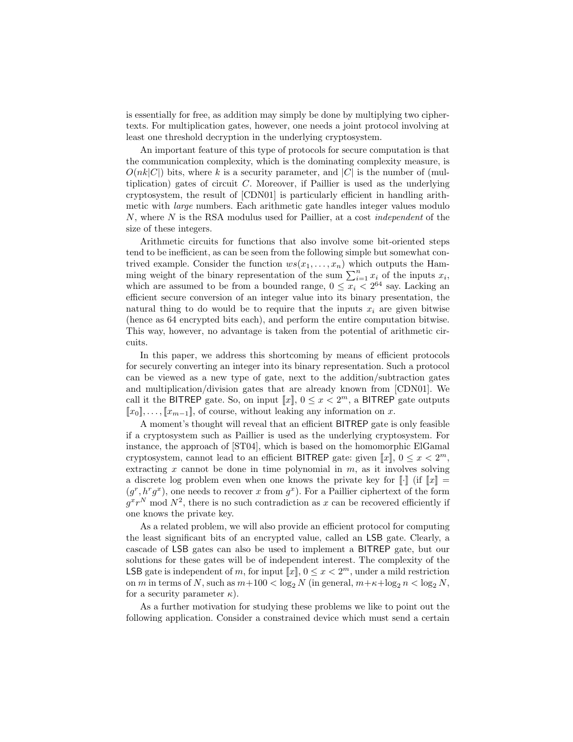is essentially for free, as addition may simply be done by multiplying two ciphertexts. For multiplication gates, however, one needs a joint protocol involving at least one threshold decryption in the underlying cryptosystem.

An important feature of this type of protocols for secure computation is that the communication complexity, which is the dominating complexity measure, is  $O(nk|C|)$  bits, where k is a security parameter, and |C| is the number of (multiplication) gates of circuit  $C$ . Moreover, if Paillier is used as the underlying cryptosystem, the result of [CDN01] is particularly efficient in handling arithmetic with large numbers. Each arithmetic gate handles integer values modulo  $N$ , where  $N$  is the RSA modulus used for Paillier, at a cost *independent* of the size of these integers.

Arithmetic circuits for functions that also involve some bit-oriented steps tend to be inefficient, as can be seen from the following simple but somewhat contrived example. Consider the function  $ws(x_1, \ldots, x_n)$  which outputs the Hamming weight of the binary representation of the sum  $\sum_{i=1}^{n} x_i$  of the inputs  $x_i$ , which are assumed to be from a bounded range,  $0 \leq x_i \leq 2^{64}$  say. Lacking an efficient secure conversion of an integer value into its binary presentation, the natural thing to do would be to require that the inputs  $x_i$  are given bitwise (hence as 64 encrypted bits each), and perform the entire computation bitwise. This way, however, no advantage is taken from the potential of arithmetic circuits.

In this paper, we address this shortcoming by means of efficient protocols for securely converting an integer into its binary representation. Such a protocol can be viewed as a new type of gate, next to the addition/subtraction gates and multiplication/division gates that are already known from [CDN01]. We call it the BITREP gate. So, on input  $[[x]]$ ,  $0 \le x < 2<sup>m</sup>$ , a BITREP gate outputs  $[x_0], \ldots, [x_{m-1}],$  of course, without leaking any information on x.

A moment's thought will reveal that an efficient BITREP gate is only feasible if a cryptosystem such as Paillier is used as the underlying cryptosystem. For instance, the approach of [ST04], which is based on the homomorphic ElGamal cryptosystem, cannot lead to an efficient BITREP gate: given  $\llbracket x \rrbracket$ ,  $0 \le x < 2^m$ , extracting  $x$  cannot be done in time polynomial in  $m$ , as it involves solving a discrete log problem even when one knows the private key for  $\llbracket \cdot \rrbracket$  (if  $\llbracket x \rrbracket$  =  $(g<sup>r</sup>, h<sup>r</sup>g<sup>x</sup>)$ , one needs to recover x from  $g<sup>x</sup>$ ). For a Paillier ciphertext of the form  $g^x r^N$  mod  $N^2$ , there is no such contradiction as x can be recovered efficiently if one knows the private key.

As a related problem, we will also provide an efficient protocol for computing the least significant bits of an encrypted value, called an LSB gate. Clearly, a cascade of LSB gates can also be used to implement a BITREP gate, but our solutions for these gates will be of independent interest. The complexity of the LSB gate is independent of m, for input  $[x]$ ,  $0 \le x < 2<sup>m</sup>$ , under a mild restriction on m in terms of N, such as  $m+100 < \log_2 N$  (in general,  $m+\kappa+\log_2 n < \log_2 N$ , for a security parameter  $\kappa$ ).

As a further motivation for studying these problems we like to point out the following application. Consider a constrained device which must send a certain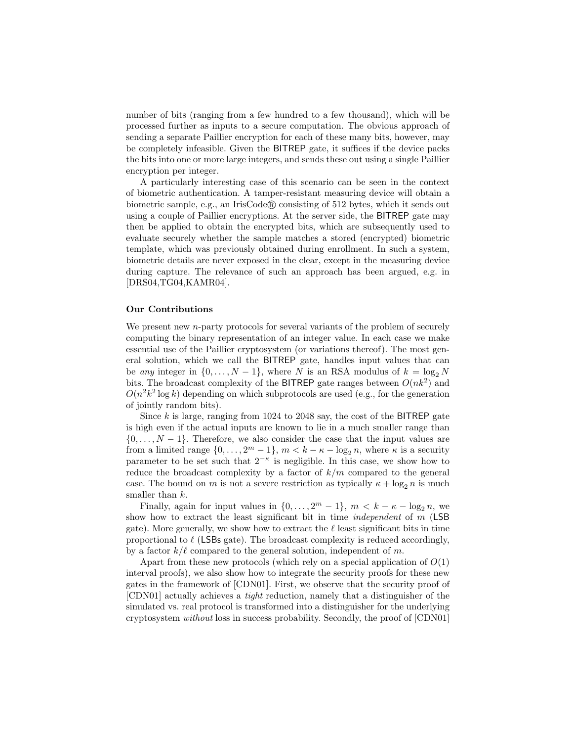number of bits (ranging from a few hundred to a few thousand), which will be processed further as inputs to a secure computation. The obvious approach of sending a separate Paillier encryption for each of these many bits, however, may be completely infeasible. Given the BITREP gate, it suffices if the device packs the bits into one or more large integers, and sends these out using a single Paillier encryption per integer.

A particularly interesting case of this scenario can be seen in the context of biometric authentication. A tamper-resistant measuring device will obtain a biometric sample, e.g., an IrisCode $\mathbb R$  consisting of 512 bytes, which it sends out using a couple of Paillier encryptions. At the server side, the BITREP gate may then be applied to obtain the encrypted bits, which are subsequently used to evaluate securely whether the sample matches a stored (encrypted) biometric template, which was previously obtained during enrollment. In such a system, biometric details are never exposed in the clear, except in the measuring device during capture. The relevance of such an approach has been argued, e.g. in [DRS04,TG04,KAMR04].

#### Our Contributions

We present new *n*-party protocols for several variants of the problem of securely computing the binary representation of an integer value. In each case we make essential use of the Paillier cryptosystem (or variations thereof). The most general solution, which we call the BITREP gate, handles input values that can be any integer in  $\{0, \ldots, N-1\}$ , where N is an RSA modulus of  $k = \log_2 N$ bits. The broadcast complexity of the BITREP gate ranges between  $O(nk^2)$  and  $O(n^2k^2 \log k)$  depending on which subprotocols are used (e.g., for the generation of jointly random bits).

Since  $k$  is large, ranging from 1024 to 2048 say, the cost of the BITREP gate is high even if the actual inputs are known to lie in a much smaller range than  $\{0, \ldots, N-1\}$ . Therefore, we also consider the case that the input values are from a limited range  $\{0, \ldots, 2^m - 1\}$ ,  $m < k - \kappa - \log_2 n$ , where  $\kappa$  is a security parameter to be set such that  $2^{-\kappa}$  is negligible. In this case, we show how to reduce the broadcast complexity by a factor of  $k/m$  compared to the general case. The bound on m is not a severe restriction as typically  $\kappa + \log_2 n$  is much smaller than  $k$ .

Finally, again for input values in  $\{0, \ldots, 2^m-1\}$ ,  $m < k - k - \log_2 n$ , we show how to extract the least significant bit in time *independent* of  $m$  (LSB) gate). More generally, we show how to extract the  $\ell$  least significant bits in time proportional to  $\ell$  (LSBs gate). The broadcast complexity is reduced accordingly, by a factor  $k/\ell$  compared to the general solution, independent of m.

Apart from these new protocols (which rely on a special application of  $O(1)$ ) interval proofs), we also show how to integrate the security proofs for these new gates in the framework of [CDN01]. First, we observe that the security proof of [CDN01] actually achieves a tight reduction, namely that a distinguisher of the simulated vs. real protocol is transformed into a distinguisher for the underlying cryptosystem without loss in success probability. Secondly, the proof of [CDN01]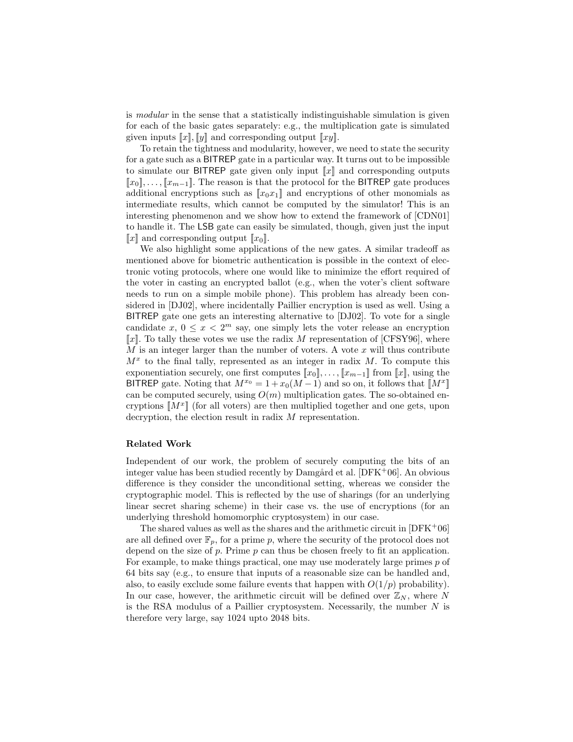is modular in the sense that a statistically indistinguishable simulation is given for each of the basic gates separately: e.g., the multiplication gate is simulated given inputs  $\llbracket x \rrbracket$ ,  $\llbracket y \rrbracket$  and corresponding output  $\llbracket xy \rrbracket$ .

To retain the tightness and modularity, however, we need to state the security for a gate such as a BITREP gate in a particular way. It turns out to be impossible to simulate our BITREP gate given only input  $\llbracket x \rrbracket$  and corresponding outputs  $[x_0], \ldots, [x_{m-1}]$ . The reason is that the protocol for the BITREP gate produces additional encryptions such as  $\llbracket x_0 x_1 \rrbracket$  and encryptions of other monomials as intermediate results, which cannot be computed by the simulator! This is an interesting phenomenon and we show how to extend the framework of [CDN01] to handle it. The LSB gate can easily be simulated, though, given just the input  $\llbracket x \rrbracket$  and corresponding output  $\llbracket x_0 \rrbracket$ .

We also highlight some applications of the new gates. A similar tradeoff as mentioned above for biometric authentication is possible in the context of electronic voting protocols, where one would like to minimize the effort required of the voter in casting an encrypted ballot (e.g., when the voter's client software needs to run on a simple mobile phone). This problem has already been considered in [DJ02], where incidentally Paillier encryption is used as well. Using a BITREP gate one gets an interesting alternative to [DJ02]. To vote for a single candidate  $x, 0 \leq x < 2^m$  say, one simply lets the voter release an encryption  $\llbracket x \rrbracket$ . To tally these votes we use the radix M representation of [CFSY96], where  $M$  is an integer larger than the number of voters. A vote  $x$  will thus contribute  $M<sup>x</sup>$  to the final tally, represented as an integer in radix  $M$ . To compute this exponentiation securely, one first computes  $[x_0], \ldots, [x_{m-1}]$  from  $[x]$ , using the BITREP gate. Noting that  $M^{x_0} = 1 + x_0(M-1)$  and so on, it follows that  $\llbracket M^x \rrbracket$ can be computed securely, using  $O(m)$  multiplication gates. The so-obtained encryptions  $[M^x]$  (for all voters) are then multiplied together and one gets, upon decryption, the election result in radix M representation.

#### Related Work

Independent of our work, the problem of securely computing the bits of an integer value has been studied recently by Damgård et al.  $[DFK^+06]$ . An obvious difference is they consider the unconditional setting, whereas we consider the cryptographic model. This is reflected by the use of sharings (for an underlying linear secret sharing scheme) in their case vs. the use of encryptions (for an underlying threshold homomorphic cryptosystem) in our case.

The shared values as well as the shares and the arithmetic circuit in  $[DFK^+06]$ are all defined over  $\mathbb{F}_p$ , for a prime p, where the security of the protocol does not depend on the size of  $p$ . Prime  $p$  can thus be chosen freely to fit an application. For example, to make things practical, one may use moderately large primes  $p$  of 64 bits say (e.g., to ensure that inputs of a reasonable size can be handled and, also, to easily exclude some failure events that happen with  $O(1/p)$  probability). In our case, however, the arithmetic circuit will be defined over  $\mathbb{Z}_N$ , where N is the RSA modulus of a Paillier cryptosystem. Necessarily, the number  $N$  is therefore very large, say 1024 upto 2048 bits.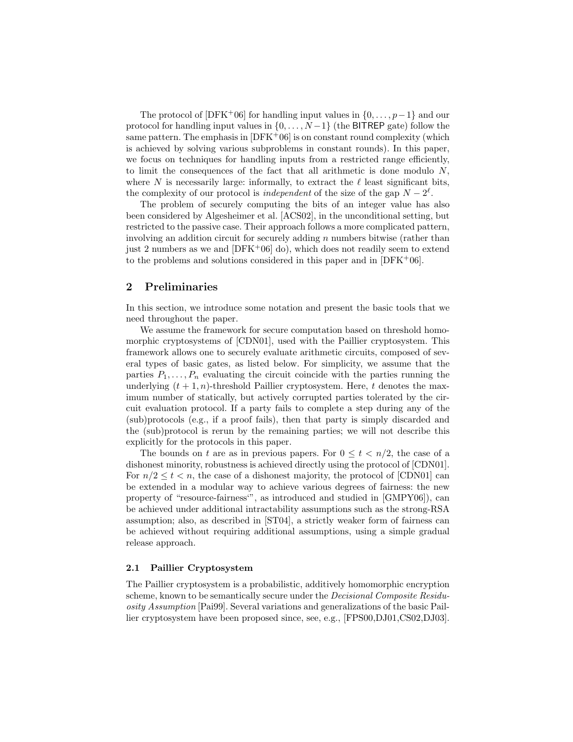The protocol of [DFK+06] for handling input values in  $\{0, \ldots, p-1\}$  and our protocol for handling input values in  $\{0, \ldots, N-1\}$  (the BITREP gate) follow the same pattern. The emphasis in  $[DFK^+06]$  is on constant round complexity (which is achieved by solving various subproblems in constant rounds). In this paper, we focus on techniques for handling inputs from a restricted range efficiently, to limit the consequences of the fact that all arithmetic is done modulo  $N$ , where N is necessarily large: informally, to extract the  $\ell$  least significant bits, the complexity of our protocol is *independent* of the size of the gap  $N - 2^{\ell}$ .

The problem of securely computing the bits of an integer value has also been considered by Algesheimer et al. [ACS02], in the unconditional setting, but restricted to the passive case. Their approach follows a more complicated pattern, involving an addition circuit for securely adding  $n$  numbers bitwise (rather than just 2 numbers as we and  $[DFK^+06]$  do), which does not readily seem to extend to the problems and solutions considered in this paper and in  $[DFK^+06]$ .

## 2 Preliminaries

In this section, we introduce some notation and present the basic tools that we need throughout the paper.

We assume the framework for secure computation based on threshold homomorphic cryptosystems of [CDN01], used with the Paillier cryptosystem. This framework allows one to securely evaluate arithmetic circuits, composed of several types of basic gates, as listed below. For simplicity, we assume that the parties  $P_1, \ldots, P_n$  evaluating the circuit coincide with the parties running the underlying  $(t + 1, n)$ -threshold Paillier cryptosystem. Here, t denotes the maximum number of statically, but actively corrupted parties tolerated by the circuit evaluation protocol. If a party fails to complete a step during any of the (sub)protocols (e.g., if a proof fails), then that party is simply discarded and the (sub)protocol is rerun by the remaining parties; we will not describe this explicitly for the protocols in this paper.

The bounds on t are as in previous papers. For  $0 \le t \le n/2$ , the case of a dishonest minority, robustness is achieved directly using the protocol of [CDN01]. For  $n/2 \leq t \leq n$ , the case of a dishonest majority, the protocol of [CDN01] can be extended in a modular way to achieve various degrees of fairness: the new property of "resource-fairness'", as introduced and studied in [GMPY06]), can be achieved under additional intractability assumptions such as the strong-RSA assumption; also, as described in [ST04], a strictly weaker form of fairness can be achieved without requiring additional assumptions, using a simple gradual release approach.

#### 2.1 Paillier Cryptosystem

The Paillier cryptosystem is a probabilistic, additively homomorphic encryption scheme, known to be semantically secure under the Decisional Composite Residuosity Assumption [Pai99]. Several variations and generalizations of the basic Paillier cryptosystem have been proposed since, see, e.g., [FPS00,DJ01,CS02,DJ03].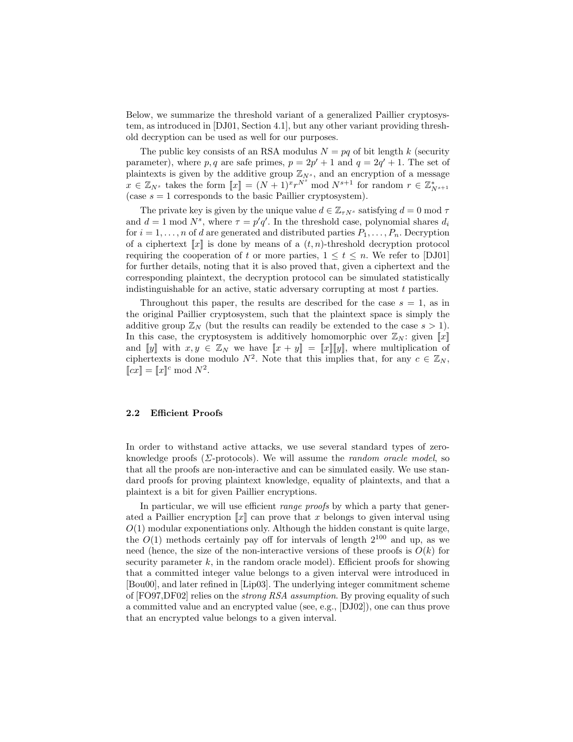Below, we summarize the threshold variant of a generalized Paillier cryptosystem, as introduced in [DJ01, Section 4.1], but any other variant providing threshold decryption can be used as well for our purposes.

The public key consists of an RSA modulus  $N = pq$  of bit length k (security parameter), where p, q are safe primes,  $p = 2p' + 1$  and  $q = 2q' + 1$ . The set of plaintexts is given by the additive group  $\mathbb{Z}_{N^s}$ , and an encryption of a message  $x \in \mathbb{Z}_{N^s}$  takes the form  $[[x]] = (N+1)^{x}r^{N^s} \mod N^{s+1}$  for random  $r \in \mathbb{Z}_{N^{s+1}}^*$ (case  $s = 1$  corresponds to the basic Paillier cryptosystem).

The private key is given by the unique value  $d \in \mathbb{Z}_{\tau N^s}$  satisfying  $d = 0 \text{ mod } \tau$ and  $d = 1 \text{ mod } N^s$ , where  $\tau = p'q'$ . In the threshold case, polynomial shares  $d_i$ for  $i = 1, \ldots, n$  of d are generated and distributed parties  $P_1, \ldots, P_n$ . Decryption of a ciphertext  $\llbracket x \rrbracket$  is done by means of a  $(t, n)$ -threshold decryption protocol requiring the cooperation of t or more parties,  $1 \le t \le n$ . We refer to [DJ01] for further details, noting that it is also proved that, given a ciphertext and the corresponding plaintext, the decryption protocol can be simulated statistically indistinguishable for an active, static adversary corrupting at most t parties.

Throughout this paper, the results are described for the case  $s = 1$ , as in the original Paillier cryptosystem, such that the plaintext space is simply the additive group  $\mathbb{Z}_N$  (but the results can readily be extended to the case  $s > 1$ ). In this case, the cryptosystem is additively homomorphic over  $\mathbb{Z}_N$ : given  $\llbracket x \rrbracket$ and  $[y]$  with  $x, y \in \mathbb{Z}_N$  we have  $[x + y] = [x][y]$ , where multiplication of ciphertexts is done modulo  $N^2$ . Note that this implies that, for any  $c \in \mathbb{Z}_N$ ,  $\llbracket cx \rrbracket = \llbracket x \rrbracket^c \bmod N^2.$ 

#### 2.2 Efficient Proofs

In order to withstand active attacks, we use several standard types of zeroknowledge proofs ( $\Sigma$ -protocols). We will assume the *random oracle model*, so that all the proofs are non-interactive and can be simulated easily. We use standard proofs for proving plaintext knowledge, equality of plaintexts, and that a plaintext is a bit for given Paillier encryptions.

In particular, we will use efficient *range proofs* by which a party that generated a Paillier encryption  $\llbracket x \rrbracket$  can prove that x belongs to given interval using  $O(1)$  modular exponentiations only. Although the hidden constant is quite large, the  $O(1)$  methods certainly pay off for intervals of length  $2^{100}$  and up, as we need (hence, the size of the non-interactive versions of these proofs is  $O(k)$  for security parameter  $k$ , in the random oracle model). Efficient proofs for showing that a committed integer value belongs to a given interval were introduced in [Bou00], and later refined in [Lip03]. The underlying integer commitment scheme of [FO97,DF02] relies on the strong RSA assumption. By proving equality of such a committed value and an encrypted value (see, e.g., [DJ02]), one can thus prove that an encrypted value belongs to a given interval.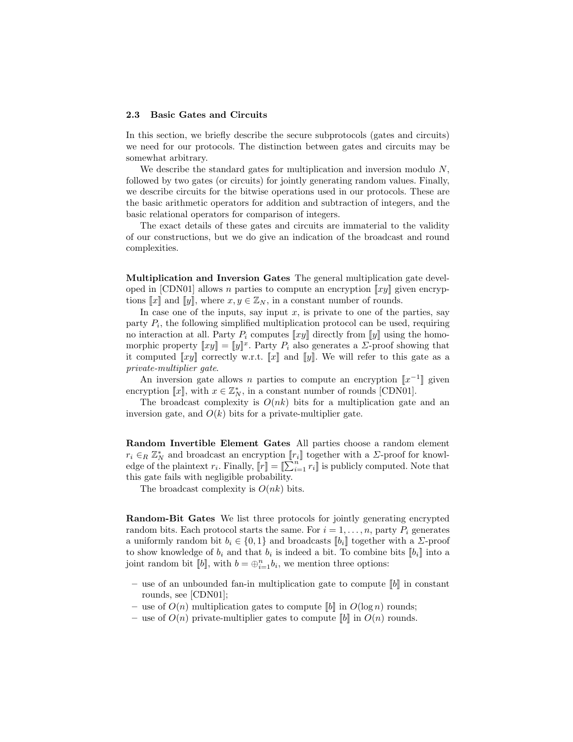#### 2.3 Basic Gates and Circuits

In this section, we briefly describe the secure subprotocols (gates and circuits) we need for our protocols. The distinction between gates and circuits may be somewhat arbitrary.

We describe the standard gates for multiplication and inversion modulo  $N$ , followed by two gates (or circuits) for jointly generating random values. Finally, we describe circuits for the bitwise operations used in our protocols. These are the basic arithmetic operators for addition and subtraction of integers, and the basic relational operators for comparison of integers.

The exact details of these gates and circuits are immaterial to the validity of our constructions, but we do give an indication of the broadcast and round complexities.

Multiplication and Inversion Gates The general multiplication gate developed in [CDN01] allows n parties to compute an encryption  $\llbracket xy \rrbracket$  given encryptions  $\llbracket x \rrbracket$  and  $\llbracket y \rrbracket$ , where  $x, y \in \mathbb{Z}_N$ , in a constant number of rounds.

In case one of the inputs, say input  $x$ , is private to one of the parties, say party  $P_i$ , the following simplified multiplication protocol can be used, requiring no interaction at all. Party  $P_i$  computes  $\llbracket xy \rrbracket$  directly from  $\llbracket y \rrbracket$  using the homomorphic property  $[[xy]] = [[y]]^x$ . Party  $P_i$  also generates a  $\Sigma$ -proof showing that it computed  $\llbracket xy \rrbracket$  correctly w.r.t.  $\llbracket x \rrbracket$  and  $\llbracket y \rrbracket$ . We will refer to this gate as a private-multiplier gate.

An inversion gate allows n parties to compute an encryption  $\llbracket x^{-1} \rrbracket$  given encryption [x], with  $x \in \mathbb{Z}_N^*$ , in a constant number of rounds [CDN01].

The broadcast complexity is  $O(nk)$  bits for a multiplication gate and an inversion gate, and  $O(k)$  bits for a private-multiplier gate.

Random Invertible Element Gates All parties choose a random element  $r_i \in_R \mathbb{Z}_N^*$  and broadcast an encryption  $[\![r_i]\!]$  together with a  $\Sigma$ -proof for knowledge of the plaintext  $r_i$ . Finally,  $\llbracket r \rrbracket = \llbracket \sum_{i=1}^{n} r_i \rrbracket$  is publicly computed. Note that this gate fails with negligible probability.

The broadcast complexity is  $O(nk)$  bits.

Random-Bit Gates We list three protocols for jointly generating encrypted random bits. Each protocol starts the same. For  $i = 1, \ldots, n$ , party  $P_i$  generates a uniformly random bit  $b_i \in \{0,1\}$  and broadcasts  $[[b_i]]$  together with a  $\Sigma$ -proof to show knowledge of  $b_i$  and that  $b_i$  is indeed a bit. To combine bits  $[[b_i]]$  into a joint random bit  $[[b]]$ , with  $b = \bigoplus_{i=1}^n b_i$ , we mention three options:

- use of an unbounded fan-in multiplication gate to compute  $\llbracket b \rrbracket$  in constant rounds, see [CDN01];
- use of  $O(n)$  multiplication gates to compute  $[[b]]$  in  $O(\log n)$  rounds;
- use of  $O(n)$  private-multiplier gates to compute  $[[b]]$  in  $O(n)$  rounds.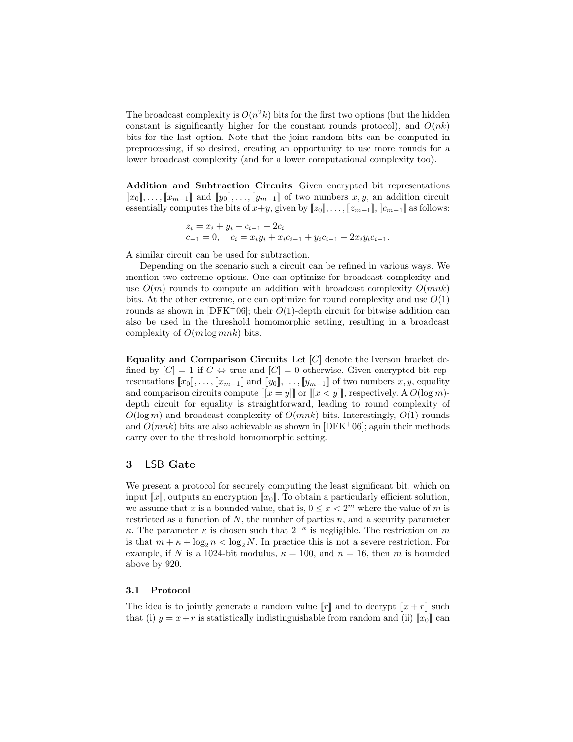The broadcast complexity is  $O(n^2k)$  bits for the first two options (but the hidden constant is significantly higher for the constant rounds protocol), and  $O(nk)$ bits for the last option. Note that the joint random bits can be computed in preprocessing, if so desired, creating an opportunity to use more rounds for a lower broadcast complexity (and for a lower computational complexity too).

Addition and Subtraction Circuits Given encrypted bit representations  $[x_0], \ldots, [x_{m-1}]$  and  $[y_0], \ldots, [y_{m-1}]$  of two numbers  $x, y$ , an addition circuit essentially computes the bits of  $x+y$ , given by  $[[z_0]]$ , ...,  $[[z_{m-1}]]$ ,  $[[c_{m-1}]]$  as follows:

$$
z_i = x_i + y_i + c_{i-1} - 2c_i
$$
  
\n
$$
c_{-1} = 0, \quad c_i = x_i y_i + x_i c_{i-1} + y_i c_{i-1} - 2x_i y_i c_{i-1}.
$$

A similar circuit can be used for subtraction.

Depending on the scenario such a circuit can be refined in various ways. We mention two extreme options. One can optimize for broadcast complexity and use  $O(m)$  rounds to compute an addition with broadcast complexity  $O(mnk)$ bits. At the other extreme, one can optimize for round complexity and use  $O(1)$ rounds as shown in [DFK+06]; their  $O(1)$ -depth circuit for bitwise addition can also be used in the threshold homomorphic setting, resulting in a broadcast complexity of  $O(m \log mn k)$  bits.

Equality and Comparison Circuits Let  $[C]$  denote the Iverson bracket defined by  $[C] = 1$  if  $C \Leftrightarrow$  true and  $[C] = 0$  otherwise. Given encrypted bit representations  $[x_0], \ldots, [x_{m-1}]$  and  $[y_0], \ldots, [y_{m-1}]$  of two numbers  $x, y$ , equality and comparison circuits compute  $[[x = y]]$  or  $[[x < y]]$ , respectively. A  $O(\log m)$ depth circuit for equality is straightforward, leading to round complexity of  $O(\log m)$  and broadcast complexity of  $O(mnk)$  bits. Interestingly,  $O(1)$  rounds and  $O(mnk)$  bits are also achievable as shown in [DFK+06]; again their methods carry over to the threshold homomorphic setting.

## 3 LSB Gate

We present a protocol for securely computing the least significant bit, which on input  $\llbracket x \rrbracket$ , outputs an encryption  $\llbracket x_0 \rrbracket$ . To obtain a particularly efficient solution, we assume that x is a bounded value, that is,  $0 \le x < 2^m$  where the value of m is restricted as a function of  $N$ , the number of parties  $n$ , and a security parameter κ. The parameter κ is chosen such that  $2^{-\kappa}$  is negligible. The restriction on m is that  $m + \kappa + \log_2 n < \log_2 N$ . In practice this is not a severe restriction. For example, if N is a 1024-bit modulus,  $\kappa = 100$ , and  $n = 16$ , then m is bounded above by 920.

#### 3.1 Protocol

The idea is to jointly generate a random value  $\llbracket r \rrbracket$  and to decrypt  $\llbracket x + r \rrbracket$  such that (i)  $y = x + r$  is statistically indistinguishable from random and (ii)  $[x_0]$  can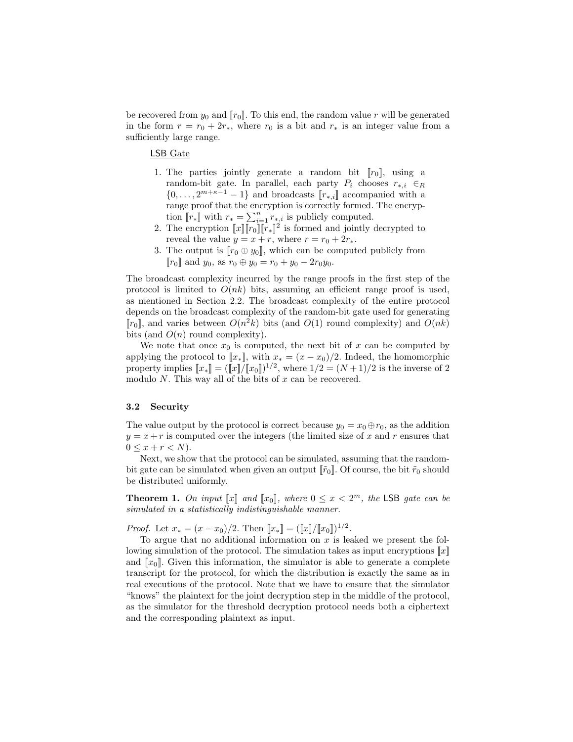be recovered from  $y_0$  and  $||r_0||$ . To this end, the random value r will be generated in the form  $r = r_0 + 2r_*,$  where  $r_0$  is a bit and  $r_*$  is an integer value from a sufficiently large range.

LSB Gate

- 1. The parties jointly generate a random bit  $[r_0]$ , using a random-bit gate. In parallel, each party  $P_i$  chooses  $r_{*,i} \in R$  $\{0, \ldots, 2^{m+\kappa-1}-1\}$  and broadcasts  $\llbracket r_{*,i} \rrbracket$  accompanied with a range proof that the encryption is correctly formed. The encryption  $[[r_*]]$  with  $r_* = \sum_{i=1}^n r_{*,i}$  is publicly computed.
- 2. The encryption  $\llbracket x \rrbracket \llbracket r_0 \rrbracket \llbracket \bar{r}_* \rrbracket^2$  is formed and jointly decrypted to reveal the value  $y = x + r$ , where  $r = r_0 + 2r_*$ .
- 3. The output is  $[r_0 \oplus y_0]$ , which can be computed publicly from  $[r_0]$  and  $y_0$ , as  $r_0 \oplus y_0 = r_0 + y_0 - 2r_0y_0$ .

The broadcast complexity incurred by the range proofs in the first step of the protocol is limited to  $O(nk)$  bits, assuming an efficient range proof is used, as mentioned in Section 2.2. The broadcast complexity of the entire protocol depends on the broadcast complexity of the random-bit gate used for generating  $[r_0]$ , and varies between  $O(n^2k)$  bits (and  $O(1)$  round complexity) and  $O(nk)$ bits (and  $O(n)$  round complexity).

We note that once  $x_0$  is computed, the next bit of x can be computed by applying the protocol to  $[x_*]$ , with  $x_* = (x - x_0)/2$ . Indeed, the homomorphic property implies  $[[x_*]] = ([x]/[[x_0]])^{1/2}$ , where  $1/2 = (N+1)/2$  is the inverse of 2 modulo  $N$ . This way all of the bits of  $x$  can be recovered.

#### 3.2 Security

The value output by the protocol is correct because  $y_0 = x_0 \oplus r_0$ , as the addition  $y = x + r$  is computed over the integers (the limited size of x and r ensures that  $0 \leq x + r < N$ .

Next, we show that the protocol can be simulated, assuming that the randombit gate can be simulated when given an output  $\lbrack \lbrack \tilde{r}_0 \rbrack$ . Of course, the bit  $\tilde{r}_0$  should be distributed uniformly.

**Theorem 1.** On input  $\llbracket x \rrbracket$  and  $\llbracket x_0 \rrbracket$ , where  $0 \leq x < 2^m$ , the LSB gate can be simulated in a statistically indistinguishable manner.

*Proof.* Let  $x_* = (x - x_0)/2$ . Then  $[x_*] = ([x]/[x_0])^{1/2}$ .

To argue that no additional information on  $x$  is leaked we present the following simulation of the protocol. The simulation takes as input encryptions  $\llbracket x \rrbracket$ and  $[x_0]$ . Given this information, the simulator is able to generate a complete transcript for the protocol, for which the distribution is exactly the same as in real executions of the protocol. Note that we have to ensure that the simulator "knows" the plaintext for the joint decryption step in the middle of the protocol, as the simulator for the threshold decryption protocol needs both a ciphertext and the corresponding plaintext as input.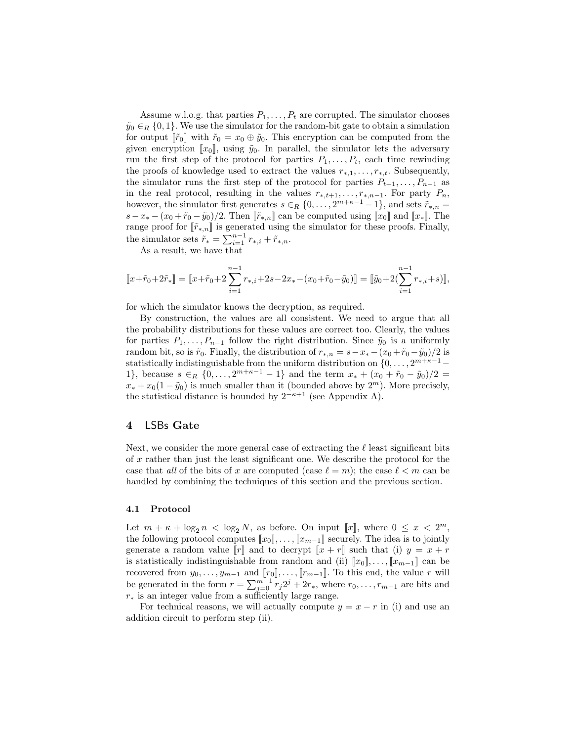Assume w.l.o.g. that parties  $P_1, \ldots, P_t$  are corrupted. The simulator chooses  $\tilde{y}_0 \in_R \{0,1\}$ . We use the simulator for the random-bit gate to obtain a simulation for output  $\|\tilde{r}_0\|$  with  $\tilde{r}_0 = x_0 \oplus \tilde{y}_0$ . This encryption can be computed from the given encryption  $\llbracket x_0 \rrbracket$ , using  $\tilde{y}_0$ . In parallel, the simulator lets the adversary run the first step of the protocol for parties  $P_1, \ldots, P_t$ , each time rewinding the proofs of knowledge used to extract the values  $r_{*,1}, \ldots, r_{*,t}$ . Subsequently, the simulator runs the first step of the protocol for parties  $P_{t+1}, \ldots, P_{n-1}$  as in the real protocol, resulting in the values  $r_{*,t+1}, \ldots, r_{*,n-1}$ . For party  $P_n$ , however, the simulator first generates  $s \in_R \{0, \ldots, 2^{m+\kappa-1}-1\}$ , and sets  $\tilde{r}_{*,n} =$  $s-x_* - (x_0 + \tilde{r}_0 - \tilde{y}_0)/2$ . Then  $[\tilde{r}_{*,n}]$  can be computed using  $[x_0]$  and  $[x_*]$ . The range proof for  $[\tilde{r}_{\ast,n}]$  is generated using the simulator for these proofs. Finally, the simulator sets  $\tilde{r}_* = \sum_{i=1}^{n-1} r_{*,i} + \tilde{r}_{*,n}$ .

As a result, we have that

$$
\llbracket x + \tilde{r}_0 + 2\tilde{r}_* \rrbracket = \llbracket x + \tilde{r}_0 + 2\sum_{i=1}^{n-1} r_{*,i} + 2s - 2x_* - (x_0 + \tilde{r}_0 - \tilde{y}_0) \rrbracket = \llbracket \tilde{y}_0 + 2(\sum_{i=1}^{n-1} r_{*,i} + s) \rrbracket,
$$

for which the simulator knows the decryption, as required.

By construction, the values are all consistent. We need to argue that all the probability distributions for these values are correct too. Clearly, the values for parties  $P_1, \ldots, P_{n-1}$  follow the right distribution. Since  $\tilde{y}_0$  is a uniformly random bit, so is  $\tilde{r}_0$ . Finally, the distribution of  $r_{*,n} = s - x_* - (x_0 + \tilde{r}_0 - \tilde{y}_0)/2$  is statistically indistinguishable from the uniform distribution on  $\{0, \ldots, 2^{m+\kappa-1}-1\}$ 1}, because  $s \in_R \{0, \ldots, 2^{m+\kappa-1}-1\}$  and the term  $x_* + (x_0 + \tilde{r}_0 - \tilde{y}_0)/2 =$  $x_* + x_0(1 - \tilde{y}_0)$  is much smaller than it (bounded above by  $2^m$ ). More precisely, the statistical distance is bounded by  $2^{-\kappa+1}$  (see Appendix A).

# 4 LSBs Gate

Next, we consider the more general case of extracting the  $\ell$  least significant bits of x rather than just the least significant one. We describe the protocol for the case that all of the bits of x are computed (case  $\ell = m$ ); the case  $\ell < m$  can be handled by combining the techniques of this section and the previous section.

#### 4.1 Protocol

Let  $m + \kappa + \log_2 n < \log_2 N$ , as before. On input [x], where  $0 \le x < 2^m$ , the following protocol computes  $[\![x_0]\!], \ldots, [\![x_{m-1}]\!]$  securely. The idea is to jointly generate a random value  $\llbracket r \rrbracket$  and to decrypt  $\llbracket x + r \rrbracket$  such that (i)  $y = x + r$ is statistically indistinguishable from random and (ii)  $[[x_0], \ldots, [[x_{m-1}]]$  can be recovered from  $y_0, \ldots, y_{m-1}$  and  $[\![r_0]\!], \ldots, [\![r_{m-1}]\!].$  To this end, the value r will be generated in the form  $r = \sum_{j=0}^{m-1} r_j 2^j + 2r_*$ , where  $r_0, \ldots, r_{m-1}$  are bits and  $r_*$  is an integer value from a sufficiently large range.

For technical reasons, we will actually compute  $y = x - r$  in (i) and use an addition circuit to perform step (ii).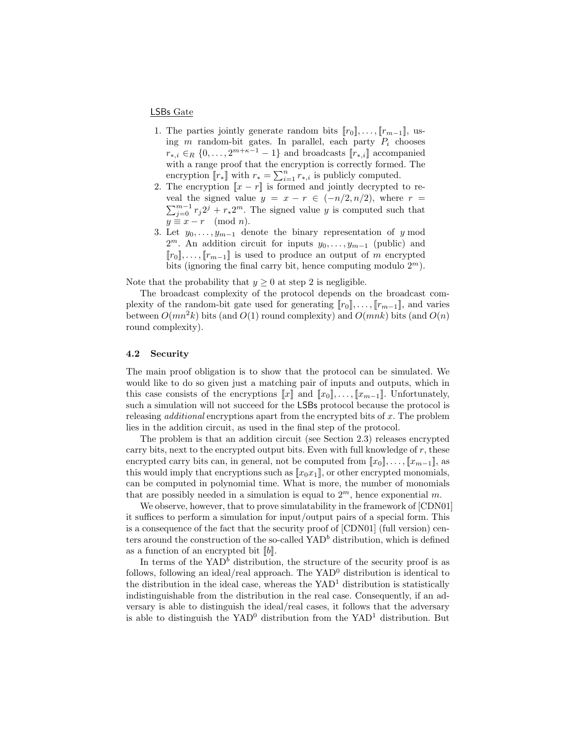#### LSBs Gate

- 1. The parties jointly generate random bits  $[r_0], \ldots, [r_{m-1}],$  using  $m$  random-bit gates. In parallel, each party  $P_i$  chooses  $r_{*,i} \in_R \{0, \ldots, 2^{m+\kappa-1}-1\}$  and broadcasts  $\llbracket r_{*,i} \rrbracket$  accompanied with a range proof that the encryption is correctly formed. The encryption  $[[r_*]]$  with  $r_* = \sum_{i=1}^n r_{*,i}$  is publicly computed.
- 2. The encryption  $\llbracket x r \rrbracket$  is formed and jointly decrypted to reveal the signed value  $y = x - r \in (-n/2, n/2)$ , where  $r =$  $\sum_{j=0}^{m-1} r_j 2^j + r_* 2^m$ . The signed value y is computed such that  $y \equiv x - r \pmod{n}.$
- 3. Let  $y_0, \ldots, y_{m-1}$  denote the binary representation of y mod  $2^m$ . An addition circuit for inputs  $y_0, \ldots, y_{m-1}$  (public) and  $[r_0], \ldots, [r_{m-1}]$  is used to produce an output of m encrypted bits (ignoring the final carry bit, hence computing modulo  $2^m$ ).

Note that the probability that  $y \geq 0$  at step 2 is negligible.

The broadcast complexity of the protocol depends on the broadcast complexity of the random-bit gate used for generating  $[r_0], \ldots, [r_{m-1}]$ , and varies between  $O(mn^2k)$  bits (and  $O(1)$  round complexity) and  $O(mnk)$  bits (and  $O(n)$ ) round complexity).

#### 4.2 Security

The main proof obligation is to show that the protocol can be simulated. We would like to do so given just a matching pair of inputs and outputs, which in this case consists of the encryptions  $\llbracket x \rrbracket$  and  $\llbracket x_0 \rrbracket, \ldots, \llbracket x_{m-1} \rrbracket$ . Unfortunately, such a simulation will not succeed for the LSBs protocol because the protocol is releasing *additional* encryptions apart from the encrypted bits of  $x$ . The problem lies in the addition circuit, as used in the final step of the protocol.

The problem is that an addition circuit (see Section 2.3) releases encrypted carry bits, next to the encrypted output bits. Even with full knowledge of  $r$ , these encrypted carry bits can, in general, not be computed from  $[x_0], \ldots, [x_{m-1}]$ , as this would imply that encryptions such as  $\llbracket x_0 x_1 \rrbracket$ , or other encrypted monomials, can be computed in polynomial time. What is more, the number of monomials that are possibly needed in a simulation is equal to  $2^m$ , hence exponential m.

We observe, however, that to prove simulatability in the framework of [CDN01] it suffices to perform a simulation for input/output pairs of a special form. This is a consequence of the fact that the security proof of [CDN01] (full version) centers around the construction of the so-called  $YAD<sup>b</sup>$  distribution, which is defined as a function of an encrypted bit  $[[b]]$ .

In terms of the  $YAD^b$  distribution, the structure of the security proof is as follows, following an ideal/real approach. The  $YAD<sup>0</sup>$  distribution is identical to the distribution in the ideal case, whereas the  $YAD<sup>1</sup>$  distribution is statistically indistinguishable from the distribution in the real case. Consequently, if an adversary is able to distinguish the ideal/real cases, it follows that the adversary is able to distinguish the  $YAD<sup>0</sup>$  distribution from the  $YAD<sup>1</sup>$  distribution. But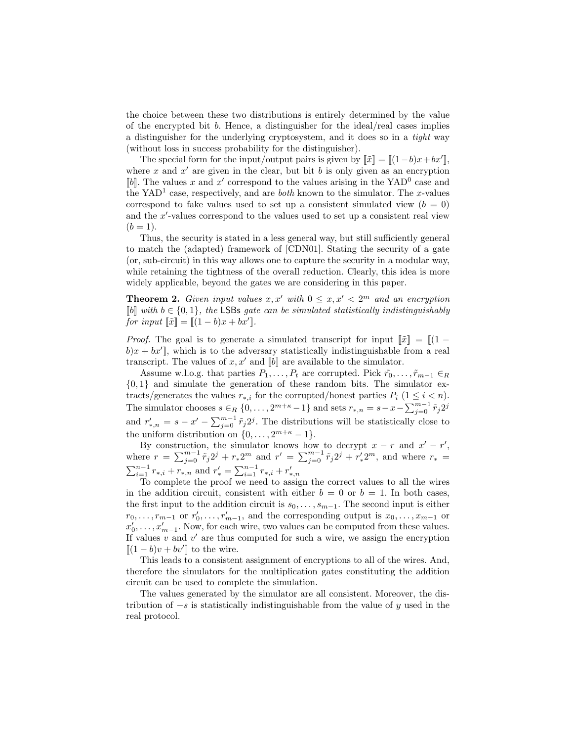the choice between these two distributions is entirely determined by the value of the encrypted bit  $b$ . Hence, a distinguisher for the ideal/real cases implies a distinguisher for the underlying cryptosystem, and it does so in a tight way (without loss in success probability for the distinguisher).

The special form for the input/output pairs is given by  $\|\tilde{x}\| = \|(1-b)x + bx'\|$ , where x and  $x'$  are given in the clear, but bit b is only given as an encryption [b]. The values x and x' correspond to the values arising in the  $YAD^0$  case and the YAD<sup>1</sup> case, respectively, and are *both* known to the simulator. The x-values correspond to fake values used to set up a consistent simulated view  $(b = 0)$ and the  $x'$ -values correspond to the values used to set up a consistent real view  $(b = 1).$ 

Thus, the security is stated in a less general way, but still sufficiently general to match the (adapted) framework of [CDN01]. Stating the security of a gate (or, sub-circuit) in this way allows one to capture the security in a modular way, while retaining the tightness of the overall reduction. Clearly, this idea is more widely applicable, beyond the gates we are considering in this paper.

**Theorem 2.** Given input values  $x, x'$  with  $0 \le x, x' < 2^m$  and an encryption  $[$ b $]$  with  $b \in \{0, 1\}$ , the LSBs gate can be simulated statistically indistinguishably for input  $\llbracket \tilde{x} \rrbracket = \llbracket (1-b)x + bx' \rrbracket$ .

*Proof.* The goal is to generate a simulated transcript for input  $\llbracket \tilde{x} \rrbracket = \llbracket (1$  $b)x + bx'$ , which is to the adversary statistically indistinguishable from a real transcript. The values of  $x, x'$  and  $[[b]]$  are available to the simulator.

Assume w.l.o.g. that parties  $P_1, \ldots, P_t$  are corrupted. Pick  $\tilde{r}_0, \ldots, \tilde{r}_{m-1} \in_R$  $\{0,1\}$  and simulate the generation of these random bits. The simulator extracts/generates the values  $r_{*,i}$  for the corrupted/honest parties  $P_i$  (1  $\leq i \leq n$ ). The simulator chooses  $s \in_R \{0, \ldots, 2^{m+\kappa}-1\}$  and sets  $r_{*,n} = s - x - \sum_{j=0}^{m-1} \tilde{r}_j 2^j$ and  $r'_{*,n} = s - x' - \sum_{j=0}^{m-1} \tilde{r}_j 2^j$ . The distributions will be statistically close to the uniform distribution on  $\{0, \ldots, 2^{m+\kappa} - 1\}.$ 

By construction, the simulator knows how to decrypt  $x - r$  and  $x' - r'$ , where  $r = \sum_{j=0}^{m-1} \tilde{r}_j 2^j + r_* 2^m$  and  $r' = \sum_{j=0}^{m-1} \tilde{r}_j 2^j + r'_* 2^m$ , and where  $r_* =$  $\sum_{i=1}^{n-1} r_{*,i} + r_{*,n}$  and  $r'_{*} = \sum_{i=1}^{n-1} r_{*,i} + r'_{*,n}$ 

To complete the proof we need to assign the correct values to all the wires in the addition circuit, consistent with either  $b = 0$  or  $b = 1$ . In both cases, the first input to the addition circuit is  $s_0, \ldots, s_{m-1}$ . The second input is either  $r_0, \ldots, r_{m-1}$  or  $r'_0, \ldots, r'_{m-1}$ , and the corresponding output is  $x_0, \ldots, x_{m-1}$  or  $x'_0, \ldots, x'_{m-1}$ . Now, for each wire, two values can be computed from these values. If values  $v$  and  $v'$  are thus computed for such a wire, we assign the encryption  $\llbracket (1-b)v + bv' \rrbracket$  to the wire.

This leads to a consistent assignment of encryptions to all of the wires. And, therefore the simulators for the multiplication gates constituting the addition circuit can be used to complete the simulation.

The values generated by the simulator are all consistent. Moreover, the distribution of  $-s$  is statistically indistinguishable from the value of y used in the real protocol.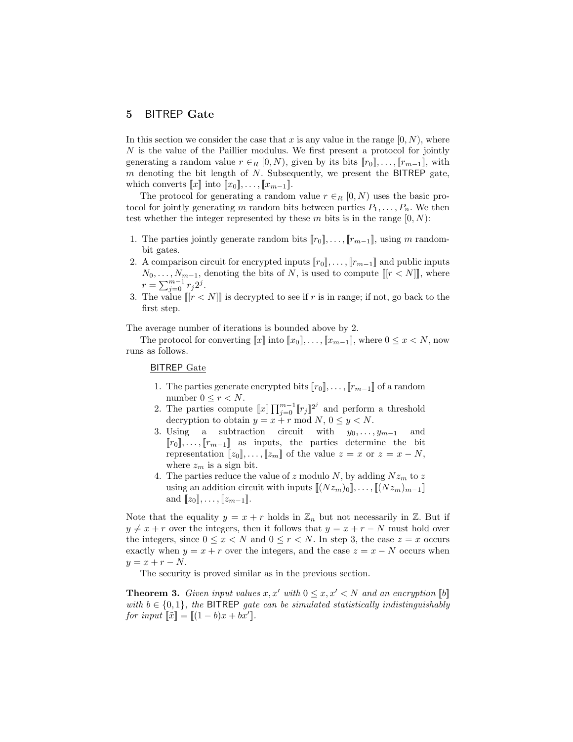# 5 BITREP Gate

In this section we consider the case that x is any value in the range  $[0, N)$ , where N is the value of the Paillier modulus. We first present a protocol for jointly generating a random value  $r \in_R [0, N)$ , given by its bits  $[r_0], \ldots, [r_{m-1}]$ , with  $m$  denoting the bit length of  $N$ . Subsequently, we present the BITREP gate, which converts  $\llbracket x \rrbracket$  into  $\llbracket x_0 \rrbracket, \ldots, \llbracket x_{m-1} \rrbracket$ .

The protocol for generating a random value  $r \in_R [0, N)$  uses the basic protocol for jointly generating m random bits between parties  $P_1, \ldots, P_n$ . We then test whether the integer represented by these m bits is in the range  $[0, N)$ :

- 1. The parties jointly generate random bits  $||r_0||, \ldots, ||r_{m-1}||$ , using m randombit gates.
- 2. A comparison circuit for encrypted inputs  $[r_0], \ldots, [r_{m-1}]$  and public inputs  $N_0, \ldots, N_{m-1}$ , denoting the bits of N, is used to compute  $[[r < N]]$ , where  $r = \sum_{j=0}^{m-1} r_j 2^j$ .
- 3. The value  $\llbracket [r < N] \rrbracket$  is decrypted to see if r is in range; if not, go back to the first step.

The average number of iterations is bounded above by 2.

The protocol for converting  $[x]$  into  $[x_0], \ldots, [x_{m-1}]$ , where  $0 \le x \le N$ , now runs as follows.

# BITREP Gate

- 1. The parties generate encrypted bits  $[r_0], \ldots, [r_{m-1}]$  of a random number  $0 \leq r < N$ .
- 2. The parties compute  $\llbracket x \rrbracket \prod_{j=0}^{m-1} \llbracket r_j \rrbracket^{2^j}$  and perform a threshold decryption to obtain  $y = x + r \mod N$ ,  $0 \le y < N$ .
- 3. Using a subtraction circuit with  $y_0, \ldots, y_{m-1}$  and  $[r_0], \ldots, [r_{m-1}]$  as inputs, the parties determine the bit representation  $[z_0], \ldots, [z_m]$  of the value  $z = x$  or  $z = x - N$ , where  $z_m$  is a sign bit.
- 4. The parties reduce the value of z modulo N, by adding  $Nz_m$  to z using an addition circuit with inputs  $\llbracket (Nz_m)_0 \rrbracket, \ldots, \llbracket (Nz_m)_{m-1} \rrbracket$ and  $[[z_0], \ldots, [[z_{m-1}]].$

Note that the equality  $y = x + r$  holds in  $\mathbb{Z}_n$  but not necessarily in  $\mathbb{Z}$ . But if  $y \neq x + r$  over the integers, then it follows that  $y = x + r - N$  must hold over the integers, since  $0 \le x < N$  and  $0 \le r < N$ . In step 3, the case  $z = x$  occurs exactly when  $y = x + r$  over the integers, and the case  $z = x - N$  occurs when  $y = x + r - N.$ 

The security is proved similar as in the previous section.

**Theorem 3.** Given input values x, x' with  $0 \leq x, x' \leq N$  and an encryption  $[[b]]$ with  $b \in \{0,1\}$ , the BITREP gate can be simulated statistically indistinguishably for input  $\llbracket \tilde{x} \rrbracket = \llbracket (1-b)x + bx' \rrbracket$ .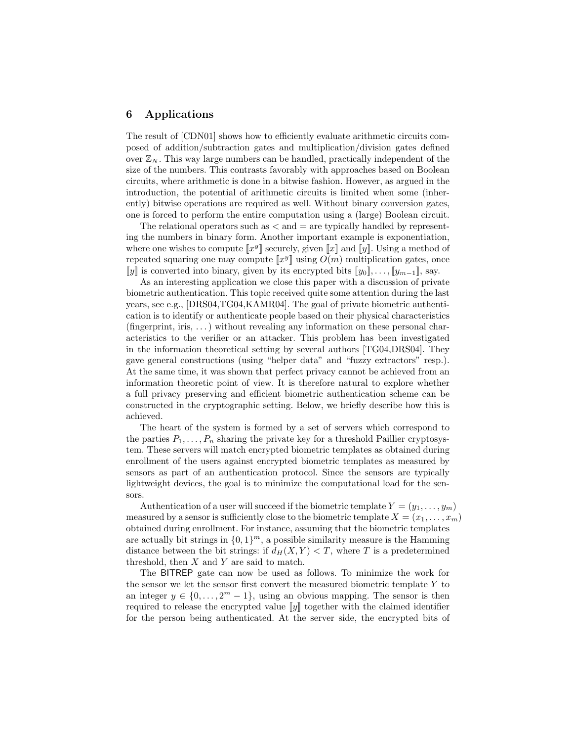## 6 Applications

The result of [CDN01] shows how to efficiently evaluate arithmetic circuits composed of addition/subtraction gates and multiplication/division gates defined over  $\mathbb{Z}_N$ . This way large numbers can be handled, practically independent of the size of the numbers. This contrasts favorably with approaches based on Boolean circuits, where arithmetic is done in a bitwise fashion. However, as argued in the introduction, the potential of arithmetic circuits is limited when some (inherently) bitwise operations are required as well. Without binary conversion gates, one is forced to perform the entire computation using a (large) Boolean circuit.

The relational operators such as  $\langle$  and  $=$  are typically handled by representing the numbers in binary form. Another important example is exponentiation, where one wishes to compute  $\llbracket x^y \rrbracket$  securely, given  $\llbracket x \rrbracket$  and  $\llbracket y \rrbracket$ . Using a method of repeated squaring one may compute  $\llbracket x^y \rrbracket$  using  $O(m)$  multiplication gates, once [y] is converted into binary, given by its encrypted bits  $[y_0], \ldots, [y_{m-1}]$ , say.

As an interesting application we close this paper with a discussion of private biometric authentication. This topic received quite some attention during the last years, see e.g., [DRS04,TG04,KAMR04]. The goal of private biometric authentication is to identify or authenticate people based on their physical characteristics  $(\text{fingerprint}, \text{iris}, \dots)$  without revealing any information on these personal characteristics to the verifier or an attacker. This problem has been investigated in the information theoretical setting by several authors [TG04,DRS04]. They gave general constructions (using "helper data" and "fuzzy extractors" resp.). At the same time, it was shown that perfect privacy cannot be achieved from an information theoretic point of view. It is therefore natural to explore whether a full privacy preserving and efficient biometric authentication scheme can be constructed in the cryptographic setting. Below, we briefly describe how this is achieved.

The heart of the system is formed by a set of servers which correspond to the parties  $P_1, \ldots, P_n$  sharing the private key for a threshold Paillier cryptosystem. These servers will match encrypted biometric templates as obtained during enrollment of the users against encrypted biometric templates as measured by sensors as part of an authentication protocol. Since the sensors are typically lightweight devices, the goal is to minimize the computational load for the sensors.

Authentication of a user will succeed if the biometric template  $Y = (y_1, \ldots, y_m)$ measured by a sensor is sufficiently close to the biometric template  $X = (x_1, \ldots, x_m)$ obtained during enrollment. For instance, assuming that the biometric templates are actually bit strings in  $\{0,1\}^m$ , a possible similarity measure is the Hamming distance between the bit strings: if  $d_H(X, Y) < T$ , where T is a predetermined threshold, then  $X$  and  $Y$  are said to match.

The BITREP gate can now be used as follows. To minimize the work for the sensor we let the sensor first convert the measured biometric template Y to an integer  $y \in \{0, \ldots, 2^m - 1\}$ , using an obvious mapping. The sensor is then required to release the encrypted value  $\llbracket y \rrbracket$  together with the claimed identifier for the person being authenticated. At the server side, the encrypted bits of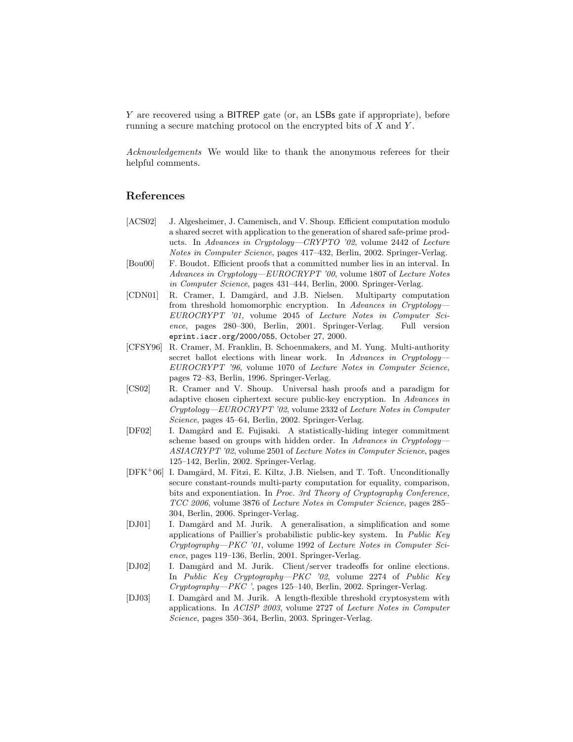Y are recovered using a BITREP gate (or, an LSBs gate if appropriate), before running a secure matching protocol on the encrypted bits of  $X$  and  $Y$ .

Acknowledgements We would like to thank the anonymous referees for their helpful comments.

# References

- [ACS02] J. Algesheimer, J. Camenisch, and V. Shoup. Efficient computation modulo a shared secret with application to the generation of shared safe-prime products. In Advances in Cryptology—CRYPTO '02, volume 2442 of Lecture Notes in Computer Science, pages 417–432, Berlin, 2002. Springer-Verlag.
- [Bou00] F. Boudot. Efficient proofs that a committed number lies in an interval. In Advances in Cryptology—EUROCRYPT '00, volume 1807 of Lecture Notes in Computer Science, pages 431–444, Berlin, 2000. Springer-Verlag.
- [CDN01] R. Cramer, I. Damgård, and J.B. Nielsen. Multiparty computation from threshold homomorphic encryption. In Advances in Cryptology-EUROCRYPT '01, volume 2045 of Lecture Notes in Computer Science, pages 280–300, Berlin, 2001. Springer-Verlag. Full version eprint.iacr.org/2000/055, October 27, 2000.
- [CFSY96] R. Cramer, M. Franklin, B. Schoenmakers, and M. Yung. Multi-authority secret ballot elections with linear work. In Advances in Cryptology-EUROCRYPT '96, volume 1070 of Lecture Notes in Computer Science, pages 72–83, Berlin, 1996. Springer-Verlag.
- [CS02] R. Cramer and V. Shoup. Universal hash proofs and a paradigm for adaptive chosen ciphertext secure public-key encryption. In Advances in Cryptology—EUROCRYPT '02, volume 2332 of Lecture Notes in Computer Science, pages 45–64, Berlin, 2002. Springer-Verlag.
- [DF02] I. Damgård and E. Fujisaki. A statistically-hiding integer commitment scheme based on groups with hidden order. In Advances in Cryptology-ASIACRYPT '02, volume 2501 of Lecture Notes in Computer Science, pages 125–142, Berlin, 2002. Springer-Verlag.
- $[DFK^+06]$  I. Damgård, M. Fitzi, E. Kiltz, J.B. Nielsen, and T. Toft. Unconditionally secure constant-rounds multi-party computation for equality, comparison, bits and exponentiation. In Proc. 3rd Theory of Cryptography Conference, TCC 2006, volume 3876 of Lecture Notes in Computer Science, pages 285– 304, Berlin, 2006. Springer-Verlag.
- [DJ01] I. Damgård and M. Jurik. A generalisation, a simplification and some applications of Paillier's probabilistic public-key system. In Public Key Cryptography—PKC '01, volume 1992 of Lecture Notes in Computer Science, pages 119–136, Berlin, 2001. Springer-Verlag.
- [DJ02] I. Damgård and M. Jurik. Client/server tradeoffs for online elections. In Public Key Cryptography—PKC '02, volume 2274 of Public Key Cryptography—PKC ', pages 125–140, Berlin, 2002. Springer-Verlag.
- [DJ03] I. Damgård and M. Jurik. A length-flexible threshold cryptosystem with applications. In ACISP 2003, volume 2727 of Lecture Notes in Computer Science, pages 350–364, Berlin, 2003. Springer-Verlag.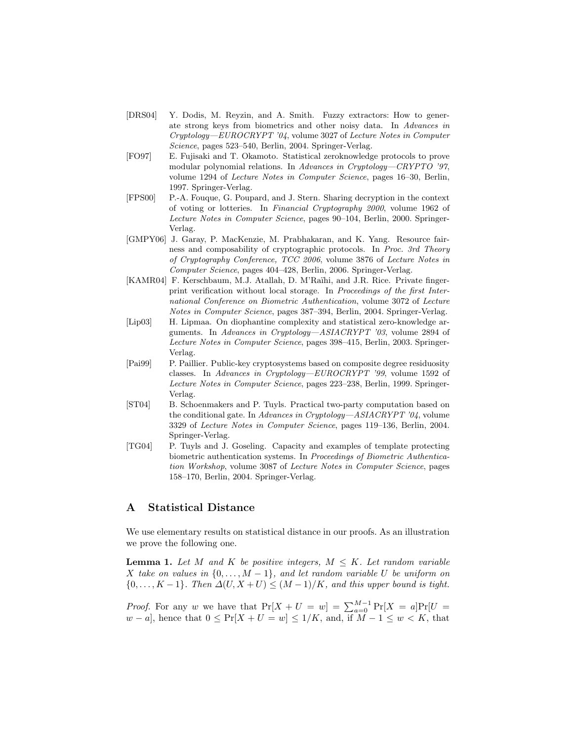- [DRS04] Y. Dodis, M. Reyzin, and A. Smith. Fuzzy extractors: How to generate strong keys from biometrics and other noisy data. In Advances in Cryptology—EUROCRYPT '04, volume 3027 of Lecture Notes in Computer Science, pages 523–540, Berlin, 2004. Springer-Verlag.
- [FO97] E. Fujisaki and T. Okamoto. Statistical zeroknowledge protocols to prove modular polynomial relations. In Advances in Cryptology—CRYPTO '97, volume 1294 of Lecture Notes in Computer Science, pages 16–30, Berlin, 1997. Springer-Verlag.
- [FPS00] P.-A. Fouque, G. Poupard, and J. Stern. Sharing decryption in the context of voting or lotteries. In Financial Cryptography 2000, volume 1962 of Lecture Notes in Computer Science, pages 90–104, Berlin, 2000. Springer-Verlag.
- [GMPY06] J. Garay, P. MacKenzie, M. Prabhakaran, and K. Yang. Resource fairness and composability of cryptographic protocols. In Proc. 3rd Theory of Cryptography Conference, TCC 2006, volume 3876 of Lecture Notes in Computer Science, pages 404–428, Berlin, 2006. Springer-Verlag.
- [KAMR04] F. Kerschbaum, M.J. Atallah, D. M'Raïhi, and J.R. Rice. Private fingerprint verification without local storage. In Proceedings of the first International Conference on Biometric Authentication, volume 3072 of Lecture Notes in Computer Science, pages 387–394, Berlin, 2004. Springer-Verlag.
- [Lip03] H. Lipmaa. On diophantine complexity and statistical zero-knowledge arguments. In Advances in Cryptology—ASIACRYPT '03, volume 2894 of Lecture Notes in Computer Science, pages 398–415, Berlin, 2003. Springer-Verlag.
- [Pai99] P. Paillier. Public-key cryptosystems based on composite degree residuosity classes. In Advances in Cryptology—EUROCRYPT '99, volume 1592 of Lecture Notes in Computer Science, pages 223–238, Berlin, 1999. Springer-Verlag.
- [ST04] B. Schoenmakers and P. Tuyls. Practical two-party computation based on the conditional gate. In Advances in Cryptology—ASIACRYPT '04, volume 3329 of Lecture Notes in Computer Science, pages 119–136, Berlin, 2004. Springer-Verlag.
- [TG04] P. Tuyls and J. Goseling. Capacity and examples of template protecting biometric authentication systems. In Proceedings of Biometric Authentication Workshop, volume 3087 of Lecture Notes in Computer Science, pages 158–170, Berlin, 2004. Springer-Verlag.

# A Statistical Distance

We use elementary results on statistical distance in our proofs. As an illustration we prove the following one.

**Lemma 1.** Let M and K be positive integers,  $M \leq K$ . Let random variable X take on values in  $\{0, \ldots, M-1\}$ , and let random variable U be uniform on  ${0, \ldots, K-1}$ . Then  $\Delta(U, X+U) \leq (M-1)/K$ , and this upper bound is tight.

*Proof.* For any w we have that  $Pr[X + U = w] = \sum_{a=0}^{M-1} Pr[X = a]Pr[U = w]$  $w - a$ , hence that  $0 \leq Pr[X + U = w] \leq 1/K$ , and, if  $M - 1 \leq w < K$ , that